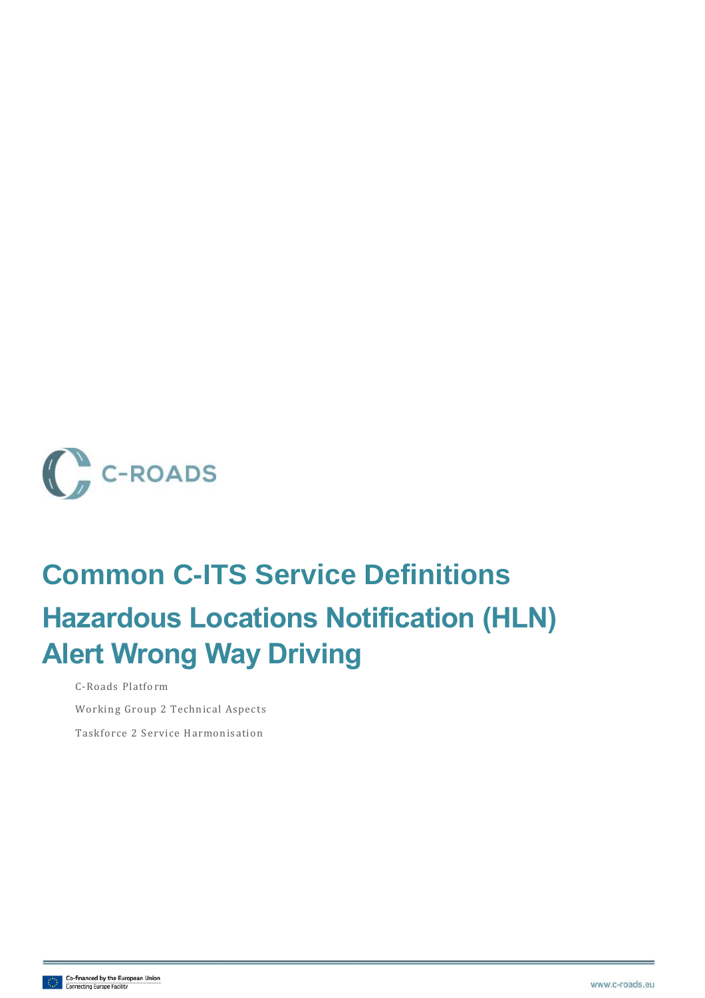

# **Common C-ITS Service Definitions Hazardous Locations Notification (HLN) Alert Wrong Way Driving**

C-Roads Platform

Working Group 2 Technical Aspects

Taskforce 2 Service Harmonisation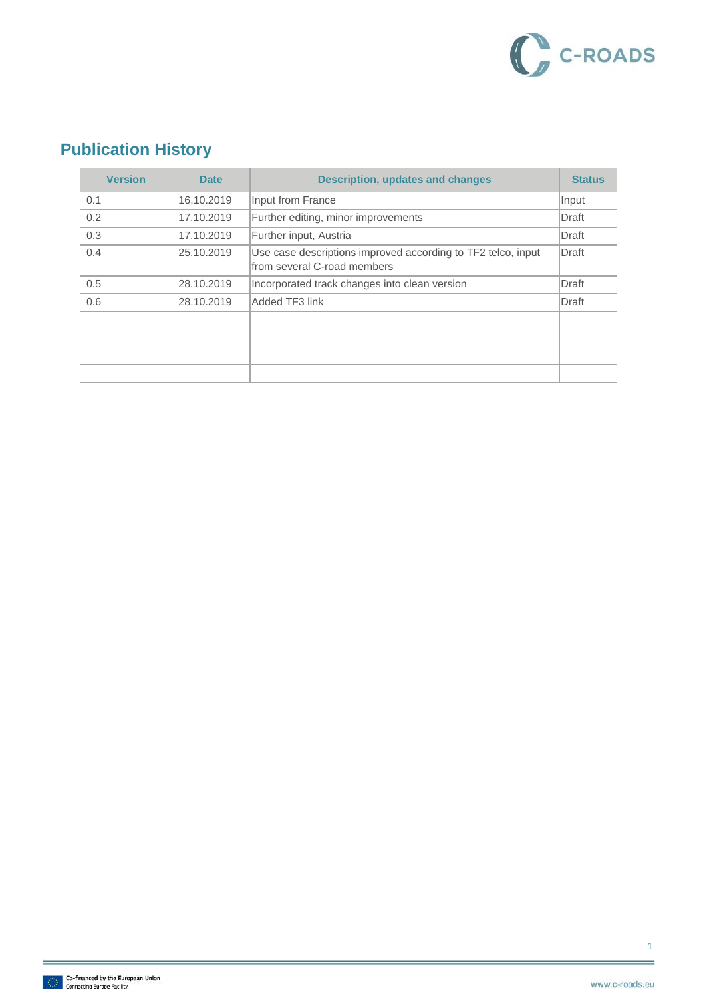

### **Publication History**

| <b>Version</b> | <b>Date</b> | <b>Description, updates and changes</b>                                                     | <b>Status</b> |
|----------------|-------------|---------------------------------------------------------------------------------------------|---------------|
| 0.1            | 16.10.2019  | Input from France                                                                           | Input         |
| 0.2            | 17.10.2019  | Further editing, minor improvements                                                         | Draft         |
| 0.3            | 17.10.2019  | Further input, Austria                                                                      | Draft         |
| 0.4            | 25.10.2019  | Use case descriptions improved according to TF2 telco, input<br>from several C-road members | Draft         |
| 0.5            | 28.10.2019  | Incorporated track changes into clean version                                               | Draft         |
| 0.6            | 28.10.2019  | Added TF3 link                                                                              | Draft         |
|                |             |                                                                                             |               |
|                |             |                                                                                             |               |
|                |             |                                                                                             |               |
|                |             |                                                                                             |               |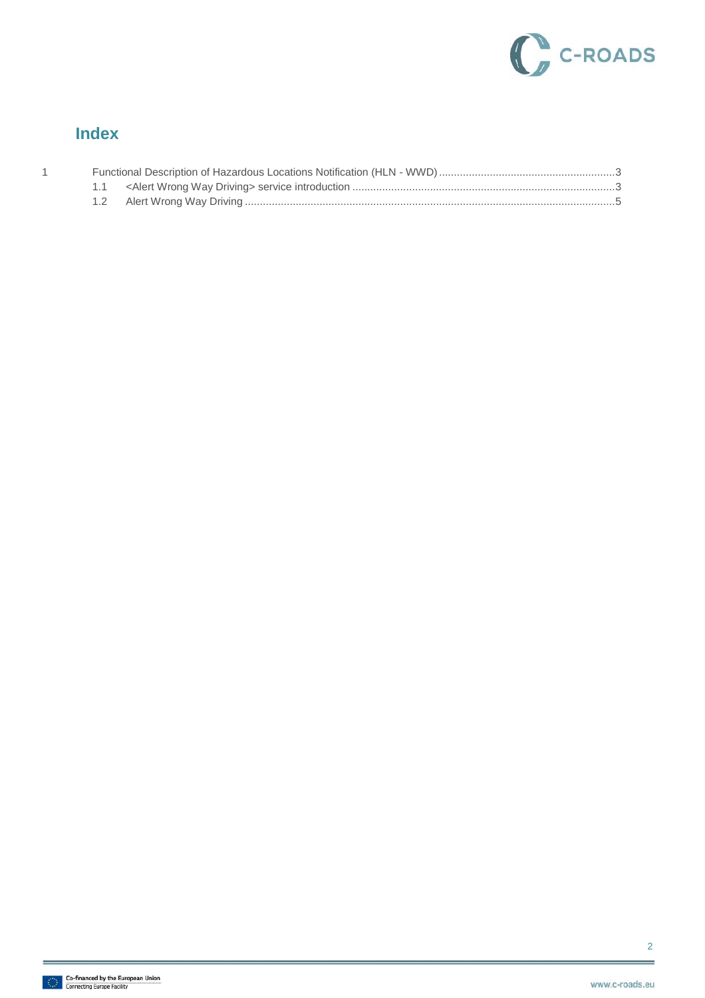

#### **Index**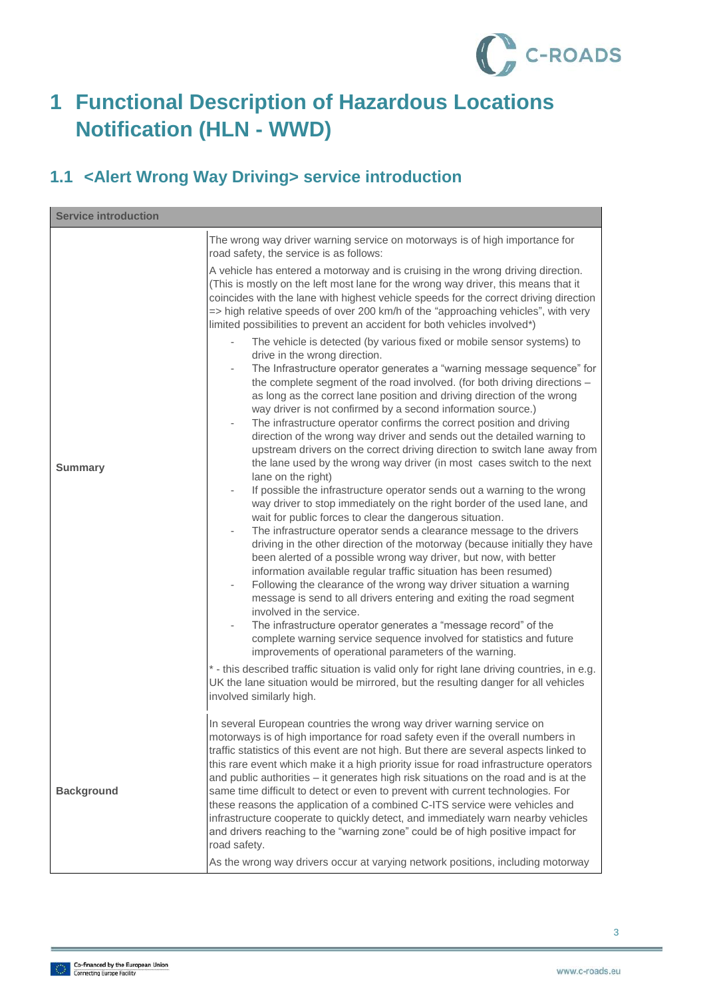

## <span id="page-3-0"></span>**1 Functional Description of Hazardous Locations Notification (HLN - WWD)**

#### <span id="page-3-1"></span>**1.1 <Alert Wrong Way Driving> service introduction**

| <b>Service introduction</b> |                                                                                                                                                                                                                                                                                                                                                                                                                                                                                                                                                                                                                                                                                                                                                                                                                                                                                                                                                                                                                                                                                                                                                                                                                                                                                                                                                                                                                                                                                                                                                                                                                                                                                                                                                                                                                                                                                                                                                                                                                                                                                                                                                                                                                                                                                                                                    |  |
|-----------------------------|------------------------------------------------------------------------------------------------------------------------------------------------------------------------------------------------------------------------------------------------------------------------------------------------------------------------------------------------------------------------------------------------------------------------------------------------------------------------------------------------------------------------------------------------------------------------------------------------------------------------------------------------------------------------------------------------------------------------------------------------------------------------------------------------------------------------------------------------------------------------------------------------------------------------------------------------------------------------------------------------------------------------------------------------------------------------------------------------------------------------------------------------------------------------------------------------------------------------------------------------------------------------------------------------------------------------------------------------------------------------------------------------------------------------------------------------------------------------------------------------------------------------------------------------------------------------------------------------------------------------------------------------------------------------------------------------------------------------------------------------------------------------------------------------------------------------------------------------------------------------------------------------------------------------------------------------------------------------------------------------------------------------------------------------------------------------------------------------------------------------------------------------------------------------------------------------------------------------------------------------------------------------------------------------------------------------------------|--|
| <b>Summary</b>              | The wrong way driver warning service on motorways is of high importance for<br>road safety, the service is as follows:<br>A vehicle has entered a motorway and is cruising in the wrong driving direction.<br>(This is mostly on the left most lane for the wrong way driver, this means that it<br>coincides with the lane with highest vehicle speeds for the correct driving direction<br>=> high relative speeds of over 200 km/h of the "approaching vehicles", with very<br>limited possibilities to prevent an accident for both vehicles involved*)<br>The vehicle is detected (by various fixed or mobile sensor systems) to<br>drive in the wrong direction.<br>The Infrastructure operator generates a "warning message sequence" for<br>the complete segment of the road involved. (for both driving directions -<br>as long as the correct lane position and driving direction of the wrong<br>way driver is not confirmed by a second information source.)<br>The infrastructure operator confirms the correct position and driving<br>direction of the wrong way driver and sends out the detailed warning to<br>upstream drivers on the correct driving direction to switch lane away from<br>the lane used by the wrong way driver (in most cases switch to the next<br>lane on the right)<br>If possible the infrastructure operator sends out a warning to the wrong<br>way driver to stop immediately on the right border of the used lane, and<br>wait for public forces to clear the dangerous situation.<br>The infrastructure operator sends a clearance message to the drivers<br>driving in the other direction of the motorway (because initially they have<br>been alerted of a possible wrong way driver, but now, with better<br>information available regular traffic situation has been resumed)<br>Following the clearance of the wrong way driver situation a warning<br>$\blacksquare$<br>message is send to all drivers entering and exiting the road segment<br>involved in the service.<br>The infrastructure operator generates a "message record" of the<br>complete warning service sequence involved for statistics and future<br>improvements of operational parameters of the warning.<br>* - this described traffic situation is valid only for right lane driving countries, in e.g. |  |
|                             | UK the lane situation would be mirrored, but the resulting danger for all vehicles<br>involved similarly high.                                                                                                                                                                                                                                                                                                                                                                                                                                                                                                                                                                                                                                                                                                                                                                                                                                                                                                                                                                                                                                                                                                                                                                                                                                                                                                                                                                                                                                                                                                                                                                                                                                                                                                                                                                                                                                                                                                                                                                                                                                                                                                                                                                                                                     |  |
| <b>Background</b>           | In several European countries the wrong way driver warning service on<br>motorways is of high importance for road safety even if the overall numbers in<br>traffic statistics of this event are not high. But there are several aspects linked to<br>this rare event which make it a high priority issue for road infrastructure operators<br>and public authorities - it generates high risk situations on the road and is at the<br>same time difficult to detect or even to prevent with current technologies. For<br>these reasons the application of a combined C-ITS service were vehicles and<br>infrastructure cooperate to quickly detect, and immediately warn nearby vehicles<br>and drivers reaching to the "warning zone" could be of high positive impact for<br>road safety.<br>As the wrong way drivers occur at varying network positions, including motorway                                                                                                                                                                                                                                                                                                                                                                                                                                                                                                                                                                                                                                                                                                                                                                                                                                                                                                                                                                                                                                                                                                                                                                                                                                                                                                                                                                                                                                                     |  |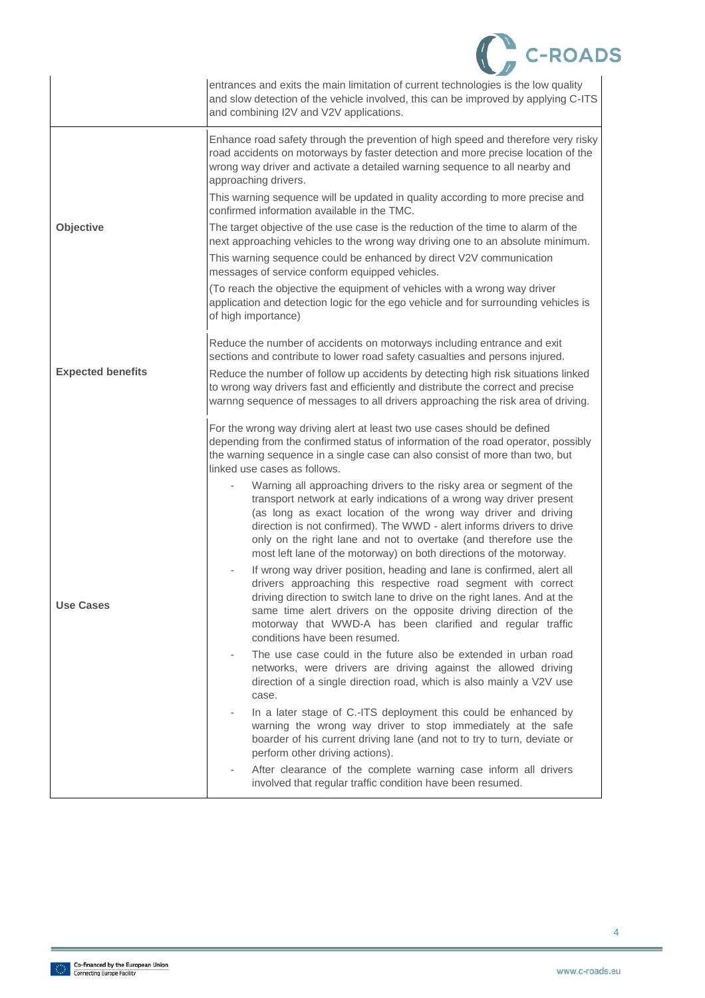|                          | <b>C-ROADS</b>                                                                                                                                                                                                                                                                                                                                                                                                                     |
|--------------------------|------------------------------------------------------------------------------------------------------------------------------------------------------------------------------------------------------------------------------------------------------------------------------------------------------------------------------------------------------------------------------------------------------------------------------------|
|                          | entrances and exits the main limitation of current technologies is the low quality<br>and slow detection of the vehicle involved, this can be improved by applying C-ITS<br>and combining I2V and V2V applications.                                                                                                                                                                                                                |
|                          | Enhance road safety through the prevention of high speed and therefore very risky<br>road accidents on motorways by faster detection and more precise location of the<br>wrong way driver and activate a detailed warning sequence to all nearby and<br>approaching drivers.                                                                                                                                                       |
|                          | This warning sequence will be updated in quality according to more precise and<br>confirmed information available in the TMC.                                                                                                                                                                                                                                                                                                      |
| <b>Objective</b>         | The target objective of the use case is the reduction of the time to alarm of the<br>next approaching vehicles to the wrong way driving one to an absolute minimum.                                                                                                                                                                                                                                                                |
|                          | This warning sequence could be enhanced by direct V2V communication<br>messages of service conform equipped vehicles.                                                                                                                                                                                                                                                                                                              |
|                          | (To reach the objective the equipment of vehicles with a wrong way driver<br>application and detection logic for the ego vehicle and for surrounding vehicles is<br>of high importance)                                                                                                                                                                                                                                            |
|                          | Reduce the number of accidents on motorways including entrance and exit<br>sections and contribute to lower road safety casualties and persons injured.                                                                                                                                                                                                                                                                            |
| <b>Expected benefits</b> | Reduce the number of follow up accidents by detecting high risk situations linked<br>to wrong way drivers fast and efficiently and distribute the correct and precise<br>warnng sequence of messages to all drivers approaching the risk area of driving.                                                                                                                                                                          |
|                          | For the wrong way driving alert at least two use cases should be defined<br>depending from the confirmed status of information of the road operator, possibly<br>the warning sequence in a single case can also consist of more than two, but<br>linked use cases as follows.                                                                                                                                                      |
|                          | Warning all approaching drivers to the risky area or segment of the<br>transport network at early indications of a wrong way driver present<br>(as long as exact location of the wrong way driver and driving<br>direction is not confirmed). The WWD - alert informs drivers to drive<br>only on the right lane and not to overtake (and therefore use the<br>most left lane of the motorway) on both directions of the motorway. |
| <b>Use Cases</b>         | If wrong way driver position, heading and lane is confirmed, alert all<br>drivers approaching this respective road segment with correct<br>driving direction to switch lane to drive on the right lanes. And at the<br>same time alert drivers on the opposite driving direction of the<br>motorway that WWD-A has been clarified and regular traffic<br>conditions have been resumed.                                             |
|                          | The use case could in the future also be extended in urban road<br>networks, were drivers are driving against the allowed driving<br>direction of a single direction road, which is also mainly a V2V use<br>case.                                                                                                                                                                                                                 |
|                          | In a later stage of C.-ITS deployment this could be enhanced by<br>warning the wrong way driver to stop immediately at the safe<br>boarder of his current driving lane (and not to try to turn, deviate or<br>perform other driving actions).                                                                                                                                                                                      |
|                          | After clearance of the complete warning case inform all drivers<br>involved that regular traffic condition have been resumed.                                                                                                                                                                                                                                                                                                      |

4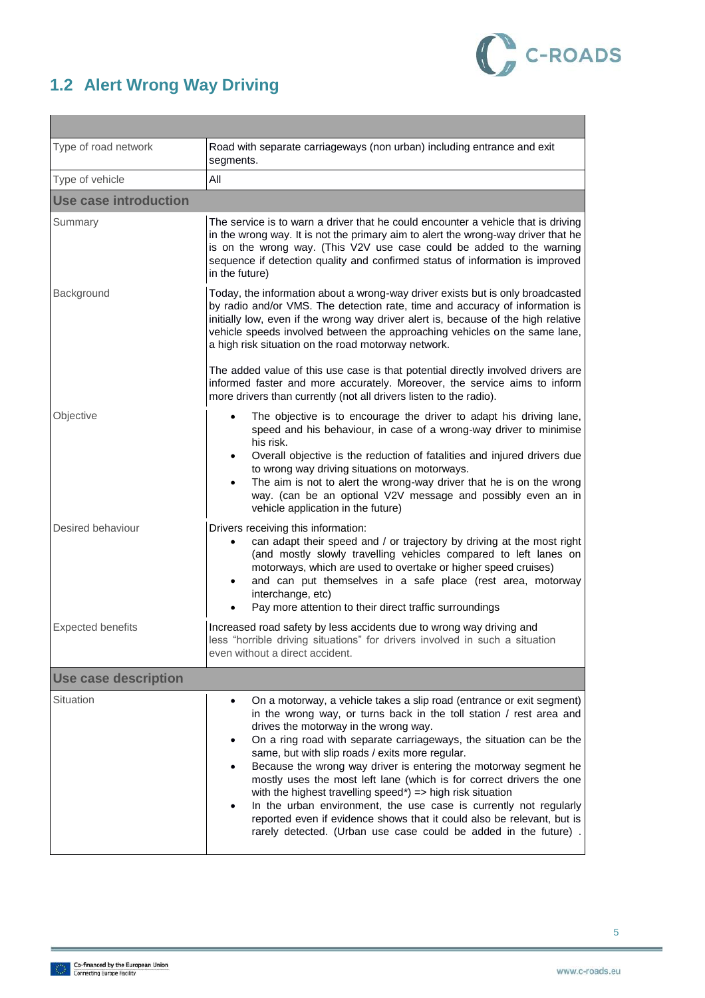<span id="page-5-0"></span>



| Type of road network         | Road with separate carriageways (non urban) including entrance and exit<br>segments.                                                                                                                                                                                                                                                                                                                                                                                                                                                                                                                                                                                                                                                                                  |  |  |
|------------------------------|-----------------------------------------------------------------------------------------------------------------------------------------------------------------------------------------------------------------------------------------------------------------------------------------------------------------------------------------------------------------------------------------------------------------------------------------------------------------------------------------------------------------------------------------------------------------------------------------------------------------------------------------------------------------------------------------------------------------------------------------------------------------------|--|--|
| Type of vehicle              | All                                                                                                                                                                                                                                                                                                                                                                                                                                                                                                                                                                                                                                                                                                                                                                   |  |  |
| <b>Use case introduction</b> |                                                                                                                                                                                                                                                                                                                                                                                                                                                                                                                                                                                                                                                                                                                                                                       |  |  |
| Summary                      | The service is to warn a driver that he could encounter a vehicle that is driving<br>in the wrong way. It is not the primary aim to alert the wrong-way driver that he<br>is on the wrong way. (This V2V use case could be added to the warning<br>sequence if detection quality and confirmed status of information is improved<br>in the future)                                                                                                                                                                                                                                                                                                                                                                                                                    |  |  |
| Background                   | Today, the information about a wrong-way driver exists but is only broadcasted<br>by radio and/or VMS. The detection rate, time and accuracy of information is<br>initially low, even if the wrong way driver alert is, because of the high relative<br>vehicle speeds involved between the approaching vehicles on the same lane,<br>a high risk situation on the road motorway network.<br>The added value of this use case is that potential directly involved drivers are<br>informed faster and more accurately. Moreover, the service aims to inform                                                                                                                                                                                                            |  |  |
|                              | more drivers than currently (not all drivers listen to the radio).                                                                                                                                                                                                                                                                                                                                                                                                                                                                                                                                                                                                                                                                                                    |  |  |
| Objective                    | The objective is to encourage the driver to adapt his driving lane,<br>$\bullet$<br>speed and his behaviour, in case of a wrong-way driver to minimise<br>his risk.<br>Overall objective is the reduction of fatalities and injured drivers due<br>to wrong way driving situations on motorways.<br>The aim is not to alert the wrong-way driver that he is on the wrong<br>$\bullet$<br>way. (can be an optional V2V message and possibly even an in<br>vehicle application in the future)                                                                                                                                                                                                                                                                           |  |  |
| Desired behaviour            | Drivers receiving this information:<br>can adapt their speed and / or trajectory by driving at the most right<br>(and mostly slowly travelling vehicles compared to left lanes on<br>motorways, which are used to overtake or higher speed cruises)<br>and can put themselves in a safe place (rest area, motorway<br>$\bullet$<br>interchange, etc)<br>Pay more attention to their direct traffic surroundings                                                                                                                                                                                                                                                                                                                                                       |  |  |
| <b>Expected benefits</b>     | Increased road safety by less accidents due to wrong way driving and<br>less "horrible driving situations" for drivers involved in such a situation<br>even without a direct accident.                                                                                                                                                                                                                                                                                                                                                                                                                                                                                                                                                                                |  |  |
| <b>Use case description</b>  |                                                                                                                                                                                                                                                                                                                                                                                                                                                                                                                                                                                                                                                                                                                                                                       |  |  |
| Situation                    | On a motorway, a vehicle takes a slip road (entrance or exit segment)<br>$\bullet$<br>in the wrong way, or turns back in the toll station / rest area and<br>drives the motorway in the wrong way.<br>On a ring road with separate carriageways, the situation can be the<br>same, but with slip roads / exits more regular.<br>Because the wrong way driver is entering the motorway segment he<br>$\bullet$<br>mostly uses the most left lane (which is for correct drivers the one<br>with the highest travelling speed*) => high risk situation<br>In the urban environment, the use case is currently not regularly<br>reported even if evidence shows that it could also be relevant, but is<br>rarely detected. (Urban use case could be added in the future). |  |  |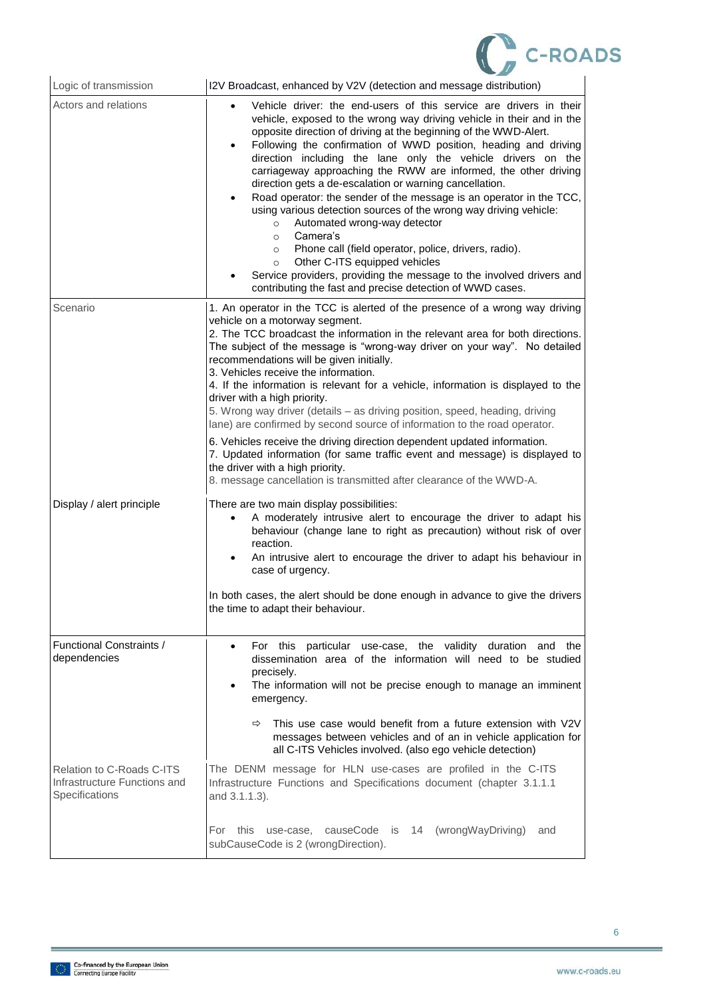

| Logic of transmission                                                              | I2V Broadcast, enhanced by V2V (detection and message distribution)                                                                                                                                                                                                                                                                                                                                                                                                                                                                                                                                                                                                                                                                                                                                                                                                                                                                                             |
|------------------------------------------------------------------------------------|-----------------------------------------------------------------------------------------------------------------------------------------------------------------------------------------------------------------------------------------------------------------------------------------------------------------------------------------------------------------------------------------------------------------------------------------------------------------------------------------------------------------------------------------------------------------------------------------------------------------------------------------------------------------------------------------------------------------------------------------------------------------------------------------------------------------------------------------------------------------------------------------------------------------------------------------------------------------|
| Actors and relations                                                               | Vehicle driver: the end-users of this service are drivers in their<br>vehicle, exposed to the wrong way driving vehicle in their and in the<br>opposite direction of driving at the beginning of the WWD-Alert.<br>Following the confirmation of WWD position, heading and driving<br>$\bullet$<br>direction including the lane only the vehicle drivers on the<br>carriageway approaching the RWW are informed, the other driving<br>direction gets a de-escalation or warning cancellation.<br>Road operator: the sender of the message is an operator in the TCC,<br>using various detection sources of the wrong way driving vehicle:<br>Automated wrong-way detector<br>$\circ$<br>Camera's<br>$\circ$<br>Phone call (field operator, police, drivers, radio).<br>$\circ$<br>Other C-ITS equipped vehicles<br>$\circ$<br>Service providers, providing the message to the involved drivers and<br>contributing the fast and precise detection of WWD cases. |
| Scenario                                                                           | 1. An operator in the TCC is alerted of the presence of a wrong way driving<br>vehicle on a motorway segment.<br>2. The TCC broadcast the information in the relevant area for both directions.<br>The subject of the message is "wrong-way driver on your way". No detailed<br>recommendations will be given initially.<br>3. Vehicles receive the information.<br>4. If the information is relevant for a vehicle, information is displayed to the<br>driver with a high priority.<br>5. Wrong way driver (details - as driving position, speed, heading, driving<br>lane) are confirmed by second source of information to the road operator.<br>6. Vehicles receive the driving direction dependent updated information.<br>7. Updated information (for same traffic event and message) is displayed to<br>the driver with a high priority.<br>8. message cancellation is transmitted after clearance of the WWD-A.                                         |
| Display / alert principle                                                          | There are two main display possibilities:<br>A moderately intrusive alert to encourage the driver to adapt his<br>behaviour (change lane to right as precaution) without risk of over<br>reaction.<br>An intrusive alert to encourage the driver to adapt his behaviour in<br>$\bullet$<br>case of urgency.<br>In both cases, the alert should be done enough in advance to give the drivers<br>the time to adapt their behaviour.                                                                                                                                                                                                                                                                                                                                                                                                                                                                                                                              |
| <b>Functional Constraints /</b><br>dependencies                                    | For this<br>particular use-case, the validity duration and the<br>$\bullet$<br>dissemination area of the information will need to be studied<br>precisely.<br>The information will not be precise enough to manage an imminent<br>$\bullet$<br>emergency.<br>This use case would benefit from a future extension with V2V<br>$\Rightarrow$<br>messages between vehicles and of an in vehicle application for<br>all C-ITS Vehicles involved. (also ego vehicle detection)                                                                                                                                                                                                                                                                                                                                                                                                                                                                                       |
| <b>Relation to C-Roads C-ITS</b><br>Infrastructure Functions and<br>Specifications | The DENM message for HLN use-cases are profiled in the C-ITS<br>Infrastructure Functions and Specifications document (chapter 3.1.1.1<br>and 3.1.1.3).<br>For this use-case, causeCode is<br>(wrongWayDriving)<br>14<br>and<br>subCauseCode is 2 (wrongDirection).                                                                                                                                                                                                                                                                                                                                                                                                                                                                                                                                                                                                                                                                                              |
|                                                                                    |                                                                                                                                                                                                                                                                                                                                                                                                                                                                                                                                                                                                                                                                                                                                                                                                                                                                                                                                                                 |